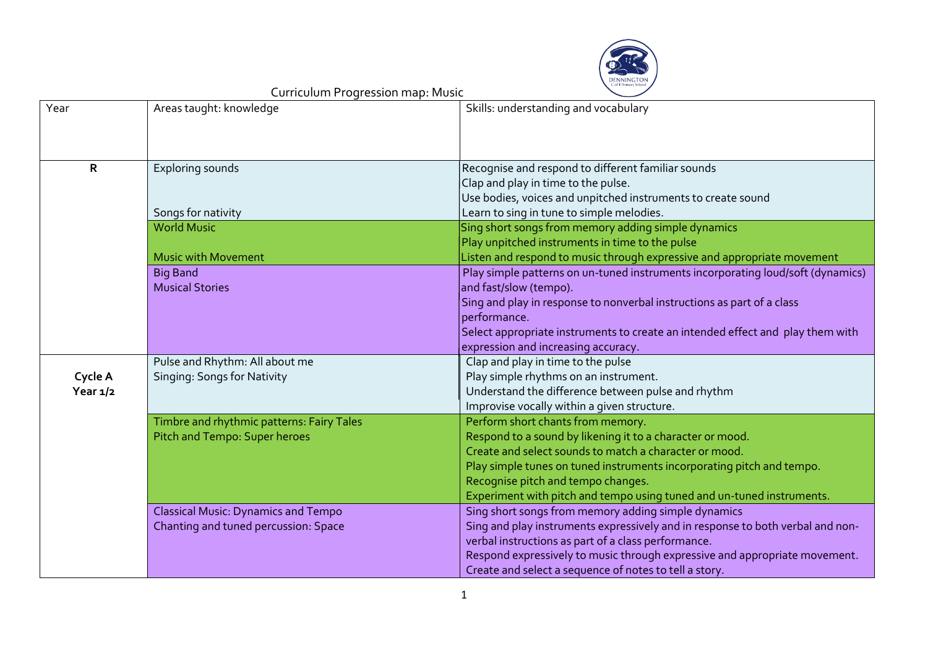

| Year         | Areas taught: knowledge                    | Skills: understanding and vocabulary                                            |
|--------------|--------------------------------------------|---------------------------------------------------------------------------------|
|              |                                            |                                                                                 |
|              |                                            |                                                                                 |
| $\mathsf{R}$ | Exploring sounds                           | Recognise and respond to different familiar sounds                              |
|              |                                            | Clap and play in time to the pulse.                                             |
|              |                                            | Use bodies, voices and unpitched instruments to create sound                    |
|              | Songs for nativity                         | Learn to sing in tune to simple melodies.                                       |
|              | <b>World Music</b>                         | Sing short songs from memory adding simple dynamics                             |
|              |                                            | Play unpitched instruments in time to the pulse                                 |
|              | <b>Music with Movement</b>                 | Listen and respond to music through expressive and appropriate movement         |
|              | <b>Big Band</b>                            | Play simple patterns on un-tuned instruments incorporating loud/soft (dynamics) |
|              | <b>Musical Stories</b>                     | and fast/slow (tempo).                                                          |
|              |                                            | Sing and play in response to nonverbal instructions as part of a class          |
|              |                                            | performance.                                                                    |
|              |                                            | Select appropriate instruments to create an intended effect and play them with  |
|              |                                            | expression and increasing accuracy.                                             |
|              | Pulse and Rhythm: All about me             | Clap and play in time to the pulse                                              |
| Cycle A      | Singing: Songs for Nativity                | Play simple rhythms on an instrument.                                           |
| Year $1/2$   |                                            | Understand the difference between pulse and rhythm                              |
|              |                                            | Improvise vocally within a given structure.                                     |
|              | Timbre and rhythmic patterns: Fairy Tales  | Perform short chants from memory.                                               |
|              | Pitch and Tempo: Super heroes              | Respond to a sound by likening it to a character or mood.                       |
|              |                                            | Create and select sounds to match a character or mood.                          |
|              |                                            | Play simple tunes on tuned instruments incorporating pitch and tempo.           |
|              |                                            | Recognise pitch and tempo changes.                                              |
|              |                                            | Experiment with pitch and tempo using tuned and un-tuned instruments.           |
|              | <b>Classical Music: Dynamics and Tempo</b> | Sing short songs from memory adding simple dynamics                             |
|              | Chanting and tuned percussion: Space       | Sing and play instruments expressively and in response to both verbal and non-  |
|              |                                            | verbal instructions as part of a class performance.                             |
|              |                                            | Respond expressively to music through expressive and appropriate movement.      |
|              |                                            | Create and select a sequence of notes to tell a story.                          |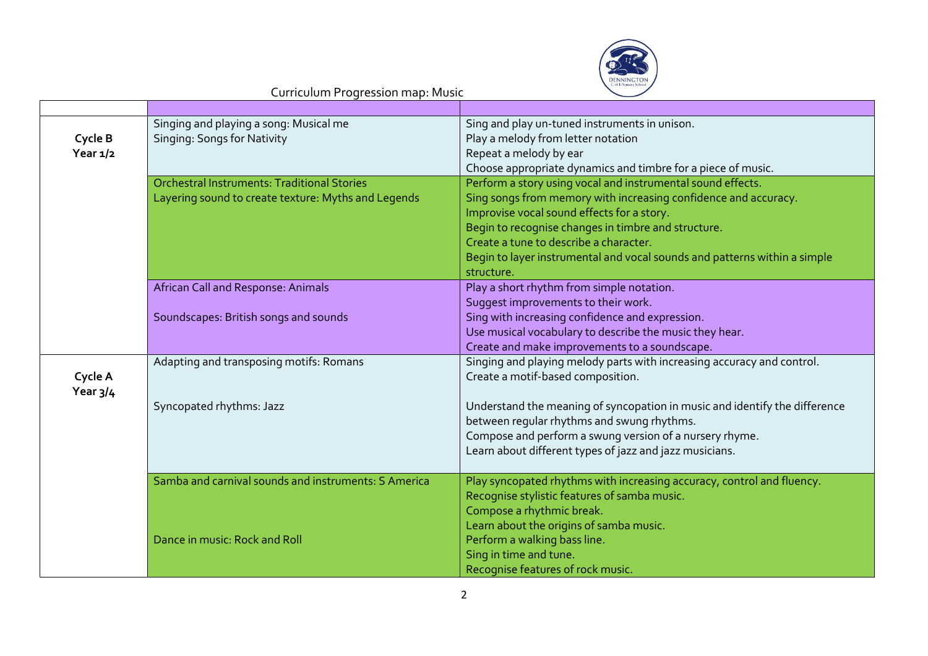

| Cycle B<br>Year $1/2$ | Singing and playing a song: Musical me<br>Singing: Songs for Nativity                                     | Sing and play un-tuned instruments in unison.<br>Play a melody from letter notation<br>Repeat a melody by ear<br>Choose appropriate dynamics and timbre for a piece of music.                                                                                                                                                                                            |
|-----------------------|-----------------------------------------------------------------------------------------------------------|--------------------------------------------------------------------------------------------------------------------------------------------------------------------------------------------------------------------------------------------------------------------------------------------------------------------------------------------------------------------------|
|                       | <b>Orchestral Instruments: Traditional Stories</b><br>Layering sound to create texture: Myths and Legends | Perform a story using vocal and instrumental sound effects.<br>Sing songs from memory with increasing confidence and accuracy.<br>Improvise vocal sound effects for a story.<br>Begin to recognise changes in timbre and structure.<br>Create a tune to describe a character.<br>Begin to layer instrumental and vocal sounds and patterns within a simple<br>structure. |
|                       | African Call and Response: Animals<br>Soundscapes: British songs and sounds                               | Play a short rhythm from simple notation.<br>Suggest improvements to their work.<br>Sing with increasing confidence and expression.<br>Use musical vocabulary to describe the music they hear.<br>Create and make improvements to a soundscape.                                                                                                                          |
| Cycle A<br>Year $3/4$ | Adapting and transposing motifs: Romans                                                                   | Singing and playing melody parts with increasing accuracy and control.<br>Create a motif-based composition.                                                                                                                                                                                                                                                              |
|                       | Syncopated rhythms: Jazz                                                                                  | Understand the meaning of syncopation in music and identify the difference<br>between regular rhythms and swung rhythms.<br>Compose and perform a swung version of a nursery rhyme.<br>Learn about different types of jazz and jazz musicians.                                                                                                                           |
|                       | Samba and carnival sounds and instruments: S America                                                      | Play syncopated rhythms with increasing accuracy, control and fluency.<br>Recognise stylistic features of samba music.<br>Compose a rhythmic break.<br>Learn about the origins of samba music.                                                                                                                                                                           |
|                       | Dance in music: Rock and Roll                                                                             | Perform a walking bass line.<br>Sing in time and tune.<br>Recognise features of rock music.                                                                                                                                                                                                                                                                              |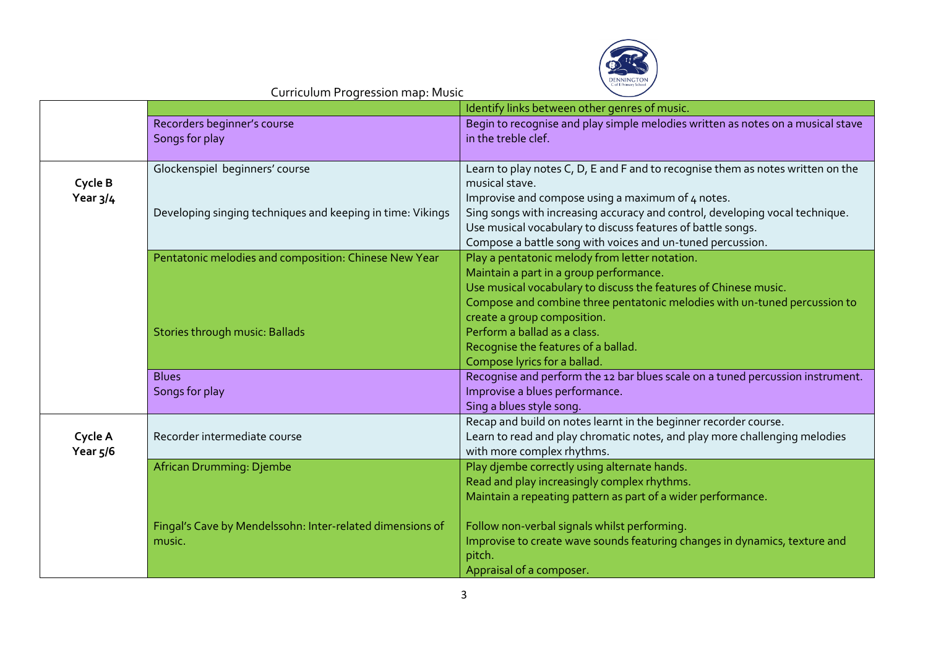

|                       |                                                                     | Identify links between other genres of music.                                                                                                                                                                                                                  |
|-----------------------|---------------------------------------------------------------------|----------------------------------------------------------------------------------------------------------------------------------------------------------------------------------------------------------------------------------------------------------------|
|                       | Recorders beginner's course<br>Songs for play                       | Begin to recognise and play simple melodies written as notes on a musical stave<br>in the treble clef.                                                                                                                                                         |
| Cycle B               | Glockenspiel beginners' course                                      | Learn to play notes C, D, E and F and to recognise them as notes written on the<br>musical stave.                                                                                                                                                              |
| Year $3/4$            | Developing singing techniques and keeping in time: Vikings          | Improvise and compose using a maximum of 4 notes.<br>Sing songs with increasing accuracy and control, developing vocal technique.<br>Use musical vocabulary to discuss features of battle songs.<br>Compose a battle song with voices and un-tuned percussion. |
|                       | Pentatonic melodies and composition: Chinese New Year               | Play a pentatonic melody from letter notation.<br>Maintain a part in a group performance.<br>Use musical vocabulary to discuss the features of Chinese music.<br>Compose and combine three pentatonic melodies with un-tuned percussion to                     |
|                       | Stories through music: Ballads                                      | create a group composition.<br>Perform a ballad as a class.<br>Recognise the features of a ballad.<br>Compose lyrics for a ballad.                                                                                                                             |
|                       | <b>Blues</b><br>Songs for play                                      | Recognise and perform the 12 bar blues scale on a tuned percussion instrument.<br>Improvise a blues performance.<br>Sing a blues style song.                                                                                                                   |
| Cycle A<br>Year $5/6$ | Recorder intermediate course                                        | Recap and build on notes learnt in the beginner recorder course.<br>Learn to read and play chromatic notes, and play more challenging melodies<br>with more complex rhythms.                                                                                   |
|                       | African Drumming: Djembe                                            | Play djembe correctly using alternate hands.<br>Read and play increasingly complex rhythms.<br>Maintain a repeating pattern as part of a wider performance.                                                                                                    |
|                       | Fingal's Cave by Mendelssohn: Inter-related dimensions of<br>music. | Follow non-verbal signals whilst performing.<br>Improvise to create wave sounds featuring changes in dynamics, texture and<br>pitch.<br>Appraisal of a composer.                                                                                               |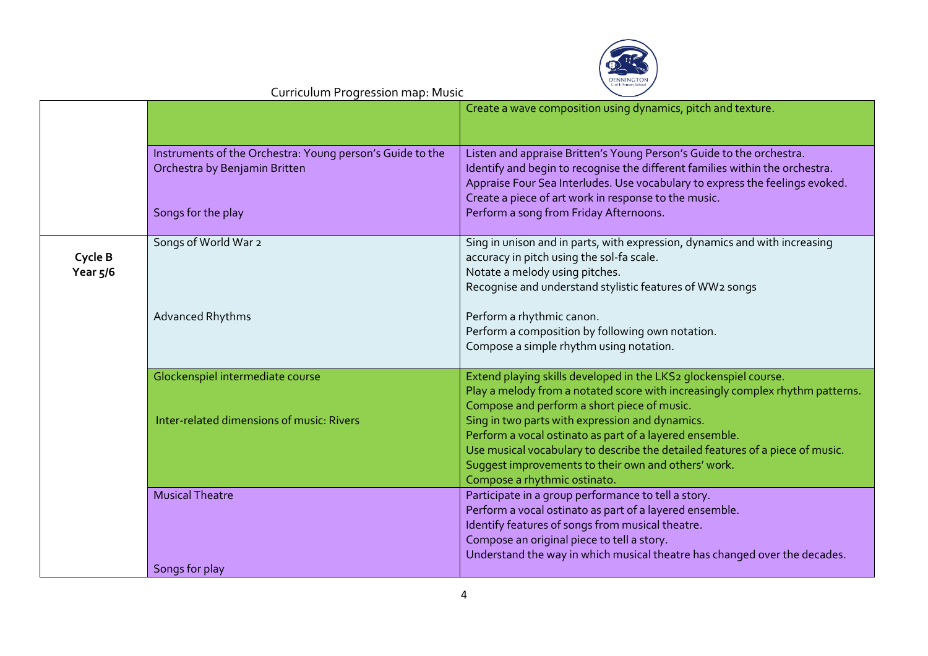

|                       |                                                                                            | Create a wave composition using dynamics, pitch and texture.                                                                                                                                                                                                                                  |
|-----------------------|--------------------------------------------------------------------------------------------|-----------------------------------------------------------------------------------------------------------------------------------------------------------------------------------------------------------------------------------------------------------------------------------------------|
|                       | Instruments of the Orchestra: Young person's Guide to the<br>Orchestra by Benjamin Britten | Listen and appraise Britten's Young Person's Guide to the orchestra.<br>Identify and begin to recognise the different families within the orchestra.<br>Appraise Four Sea Interludes. Use vocabulary to express the feelings evoked.<br>Create a piece of art work in response to the music.  |
|                       | Songs for the play                                                                         | Perform a song from Friday Afternoons.                                                                                                                                                                                                                                                        |
| Cycle B<br>Year $5/6$ | Songs of World War 2                                                                       | Sing in unison and in parts, with expression, dynamics and with increasing<br>accuracy in pitch using the sol-fa scale.<br>Notate a melody using pitches.<br>Recognise and understand stylistic features of WW2 songs                                                                         |
|                       | Advanced Rhythms                                                                           | Perform a rhythmic canon.<br>Perform a composition by following own notation.<br>Compose a simple rhythm using notation.                                                                                                                                                                      |
|                       | Glockenspiel intermediate course                                                           | Extend playing skills developed in the LKS2 glockenspiel course.<br>Play a melody from a notated score with increasingly complex rhythm patterns.<br>Compose and perform a short piece of music.                                                                                              |
|                       | Inter-related dimensions of music: Rivers                                                  | Sing in two parts with expression and dynamics.<br>Perform a vocal ostinato as part of a layered ensemble.<br>Use musical vocabulary to describe the detailed features of a piece of music.<br>Suggest improvements to their own and others' work.<br>Compose a rhythmic ostinato.            |
|                       | <b>Musical Theatre</b>                                                                     | Participate in a group performance to tell a story.<br>Perform a vocal ostinato as part of a layered ensemble.<br>Identify features of songs from musical theatre.<br>Compose an original piece to tell a story.<br>Understand the way in which musical theatre has changed over the decades. |
|                       | Songs for play                                                                             |                                                                                                                                                                                                                                                                                               |